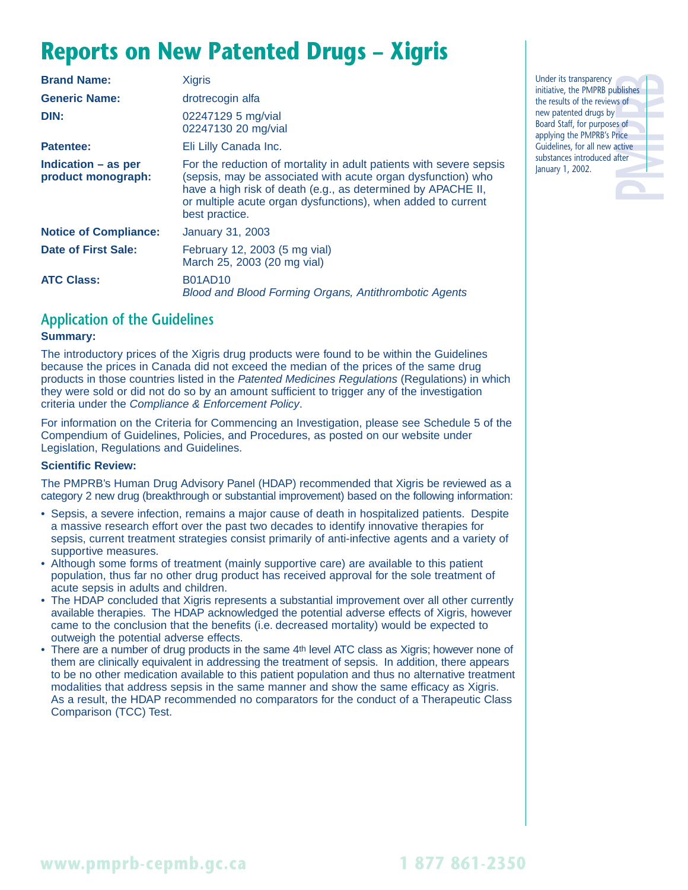## **Reports on New Patented Drugs – Xigris**

| <b>Brand Name:</b>                          | <b>Xigris</b>                                                                                                                                                                                                                                                                         |  |  |  |  |
|---------------------------------------------|---------------------------------------------------------------------------------------------------------------------------------------------------------------------------------------------------------------------------------------------------------------------------------------|--|--|--|--|
| <b>Generic Name:</b>                        | drotrecogin alfa                                                                                                                                                                                                                                                                      |  |  |  |  |
| DIN:                                        | 02247129 5 mg/vial<br>02247130 20 mg/vial                                                                                                                                                                                                                                             |  |  |  |  |
| <b>Patentee:</b>                            | Eli Lilly Canada Inc.                                                                                                                                                                                                                                                                 |  |  |  |  |
| Indication $-$ as per<br>product monograph: | For the reduction of mortality in adult patients with severe sepsis<br>(sepsis, may be associated with acute organ dysfunction) who<br>have a high risk of death (e.g., as determined by APACHE II,<br>or multiple acute organ dysfunctions), when added to current<br>best practice. |  |  |  |  |
| <b>Notice of Compliance:</b>                | <b>January 31, 2003</b>                                                                                                                                                                                                                                                               |  |  |  |  |
| Date of First Sale:                         | February 12, 2003 (5 mg vial)<br>March 25, 2003 (20 mg vial)                                                                                                                                                                                                                          |  |  |  |  |
| <b>ATC Class:</b>                           | <b>B01AD10</b><br><b>Blood and Blood Forming Organs, Antithrombotic Agents</b>                                                                                                                                                                                                        |  |  |  |  |

### **Application of the Guidelines**

#### **Summary:**

The introductory prices of the Xigris drug products were found to be within the Guidelines because the prices in Canada did not exceed the median of the prices of the same drug products in those countries listed in the Patented Medicines Regulations (Regulations) in which they were sold or did not do so by an amount sufficient to trigger any of the investigation criteria under the Compliance & Enforcement Policy.

For information on the Criteria for Commencing an Investigation, please see Schedule 5 of the Compendium of Guidelines, Policies, and Procedures, as posted on our website under Legislation, Regulations and Guidelines.

#### **Scientific Review:**

The PMPRB's Human Drug Advisory Panel (HDAP) recommended that Xigris be reviewed as a category 2 new drug (breakthrough or substantial improvement) based on the following information:

- Sepsis, a severe infection, remains a major cause of death in hospitalized patients. Despite a massive research effort over the past two decades to identify innovative therapies for sepsis, current treatment strategies consist primarily of anti-infective agents and a variety of supportive measures.
- Although some forms of treatment (mainly supportive care) are available to this patient population, thus far no other drug product has received approval for the sole treatment of acute sepsis in adults and children.
- The HDAP concluded that Xigris represents a substantial improvement over all other currently available therapies. The HDAP acknowledged the potential adverse effects of Xigris, however came to the conclusion that the benefits (i.e. decreased mortality) would be expected to outweigh the potential adverse effects.
- There are a number of drug products in the same 4th level ATC class as Xigris; however none of them are clinically equivalent in addressing the treatment of sepsis. In addition, there appears to be no other medication available to this patient population and thus no alternative treatment modalities that address sepsis in the same manner and show the same efficacy as Xigris. As a result, the HDAP recommended no comparators for the conduct of a Therapeutic Class Comparison (TCC) Test.

**PMPRB** Under its transparency initiative, the PMPRB publishes the results of the reviews of new patented drugs by Board Staff, for purposes of applying the PMPRB's Price Guidelines, for all new active substances introduced after January 1, 2002.